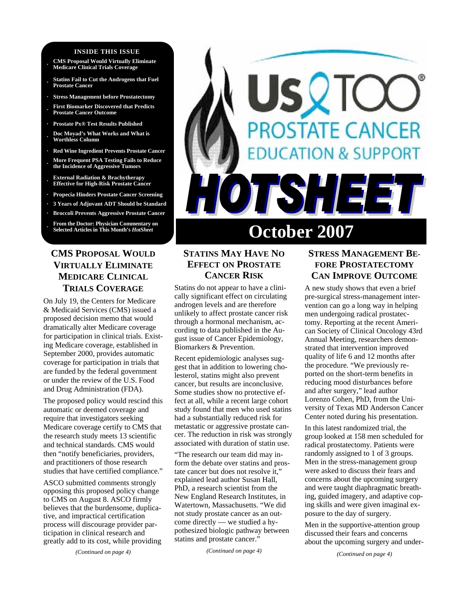#### **INSIDE THIS ISSUE**

- **· CMS Proposal Would Virtually Eliminate Medicare Clinical Trials Coverage**
- **· Statins Fail to Cut the Androgens that Fuel Prostate Cancer**
- **· Stress Management before Prostatectomy**
- **· First Biomarker Discovered that Predicts Prostate Cancer Outcome**
- **· Prostate Px® Test Results Published**
- **· Doc Moyad's What Works and What is Worthless Column**
- **· Red Wine Ingredient Prevents Prostate Cancer**
- **· More Frequent PSA Testing Fails to Reduce the Incidence of Aggressive Tumors**
- **· External Radiation & Brachytherapy Effective for High-Risk Prostate Cancer**
- **· Propecia Hinders Prostate Cancer Screening**
- **· 3 Years of Adjuvant ADT Should be Standard**
- **· Broccoli Prevents Aggressive Prostate Cancer**

**From the Doctor: Physician Commentary on Selected Articles in This Month's HotSheet** 

# **CMS PROPOSAL WOULD VIRTUALLY ELIMINATE MEDICARE CLINICAL TRIALS COVERAGE**

On July 19, the Centers for Medicare & Medicaid Services (CMS) issued a proposed decision memo that would dramatically alter Medicare coverage for participation in clinical trials. Existing Medicare coverage, established in September 2000, provides automatic coverage for participation in trials that are funded by the federal government or under the review of the U.S. Food and Drug Administration (FDA).

The proposed policy would rescind this automatic or deemed coverage and require that investigators seeking Medicare coverage certify to CMS that the research study meets 13 scientific and technical standards. CMS would then "notify beneficiaries, providers, and practitioners of those research studies that have certified compliance."

ASCO submitted comments strongly opposing this proposed policy change to CMS on August 8. ASCO firmly believes that the burdensome, duplicative, and impractical certification process will discourage provider participation in clinical research and greatly add to its cost, while providing

*(Continued on page 4)* 

# SQT **ROSTATE CANCER TON & SUPPORT** TSH 33 **October 2007**

# **STATINS MAY HAVE NO EFFECT ON PROSTATE CANCER RISK**

Statins do not appear to have a clinically significant effect on circulating androgen levels and are therefore unlikely to affect prostate cancer risk through a hormonal mechanism, according to data published in the August issue of Cancer Epidemiology, Biomarkers & Prevention.

Recent epidemiologic analyses suggest that in addition to lowering cholesterol, statins might also prevent cancer, but results are inconclusive. Some studies show no protective effect at all, while a recent large cohort study found that men who used statins had a substantially reduced risk for metastatic or aggressive prostate cancer. The reduction in risk was strongly associated with duration of statin use.

"The research our team did may inform the debate over statins and prostate cancer but does not resolve it," explained lead author Susan Hall, PhD, a research scientist from the New England Research Institutes, in Watertown, Massachusetts. "We did not study prostate cancer as an outcome directly — we studied a hypothesized biologic pathway between statins and prostate cancer."

*(Continued on page 4)* 

# **STRESS MANAGEMENT BE-FORE PROSTATECTOMY CAN IMPROVE OUTCOME**

A new study shows that even a brief pre-surgical stress-management intervention can go a long way in helping men undergoing radical prostatectomy. Reporting at the recent American Society of Clinical Oncology 43rd Annual Meeting, researchers demonstrated that intervention improved quality of life 6 and 12 months after the procedure. "We previously reported on the short-term benefits in reducing mood disturbances before and after surgery," lead author Lorenzo Cohen, PhD, from the University of Texas MD Anderson Cancer Center noted during his presentation.

In this latest randomized trial, the group looked at 158 men scheduled for radical prostatectomy. Patients were randomly assigned to 1 of 3 groups. Men in the stress-management group were asked to discuss their fears and concerns about the upcoming surgery and were taught diaphragmatic breathing, guided imagery, and adaptive coping skills and were given imaginal exposure to the day of surgery.

Men in the supportive-attention group discussed their fears and concerns about the upcoming surgery and under-

*(Continued on page 4)*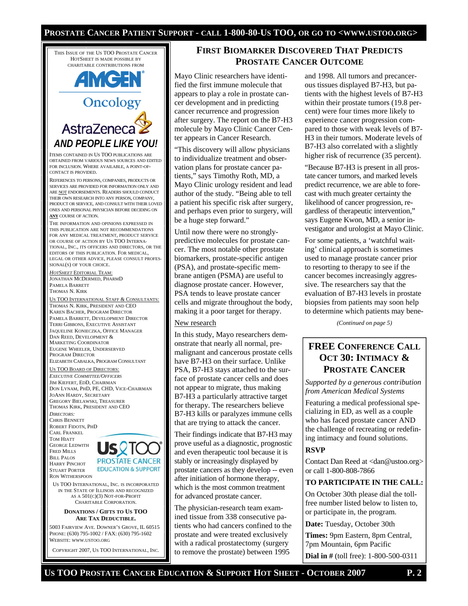#### **PROSTATE CANCER PATIENT SUPPORT - CALL 1-800-80-US TOO, OR GO TO <WWW.USTOO.ORG>**

THIS ISSUE OF THE US TOO PROSTATE CANCER HOTSHEET IS MADE POSSIBLE BY CHARITABLE CONTRIBUTIONS FROM

# **AMGEN Oncology** AstraZeneca

ITEMS CONTAINED IN US TOO PUBLICATIONS ARE OBTAINED FROM VARIOUS NEWS SOURCES AND EDITED FOR INCLUSION. WHERE AVAILABLE, A POINT-OF-CONTACT IS PROVIDED.

*AND PEOPLE LIKE YOU!* 

REFERENCES TO PERSONS, COMPANIES, PRODUCTS OR SERVICES ARE PROVIDED FOR INFORMATION ONLY AND ARE NOT ENDORSEMENTS. READERS SHOULD CONDUCT THEIR OWN RESEARCH INTO ANY PERSON, COMPANY, PRODUCT OR SERVICE, AND CONSULT WITH THEIR LOVED ONES AND PERSONAL PHYSICIAN BEFORE DECIDING ON **ANY** COURSE OF ACTION.

THE INFORMATION AND OPINIONS EXPRESSED IN THIS PUBLICATION ARE NOT RECOMMENDATIONS FOR ANY MEDICAL TREATMENT, PRODUCT SERVICE OR COURSE OF ACTION BY US TOO INTERNA-TIONAL, INC., ITS OFFICERS AND DIRECTORS, OR THE EDITORS OF THIS PUBLICATION. FOR MEDICAL, LEGAL OR OTHER ADVICE, PLEASE CONSULT PROFES-SIONAL(S) OF YOUR CHOICE.

*HOTSHEET* EDITORIAL TEAM: JONATHAN MCDERMED, PHARMD PAMELA BARRETT THOMAS N. KIRK

US TOO INTERNATIONAL STAFF & CONSULTANTS: THOMAS N. KIRK, PRESIDENT AND CEO KAREN BACHER, PROGRAM DIRECTOR PAMELA BARRETT, DEVELOPMENT DIRECTOR TERRI GIBBONS, EXECUTIVE ASSISTANT JAQUELINE KONIECZKA, OFFICE MANAGER DAN REED, DEVELOPMENT & MARKETING COORDINATOR EUGENE WHEELER, UNDERSERVED PROGRAM DIRECTOR ELIZABETH CABALKA, PROGRAM CONSULTANT

#### US TOO BOARD OF DIRECTORS:

*EXECUTIVE COMMITTEE/OFFICERS* JIM KIEFERT, EDD, CHAIRMAN DON LYNAM, PHD, PE, CHD, VICE-CHAIRMAN JOANN HARDY, SECRETARY GREGORY BIELAWSKI, TREASURER THOMAS KIRK, PRESIDENT AND CEO *DIRECTORS:*  CHRIS BENNETT ROBERT FIDOTN, PHD CARL FRANKEL

TOM HIATT GEORGE LEDWITH FRED MILLS BILL PALOS HARRY PINCHOT STUART PORTER RON WITHERSPOON



US TOO INTERNATIONAL, INC. IS INCORPORATED IN THE STATE OF ILLINOIS AND RECOGNIZED AS A 501(C)(3) NOT-FOR-PROFIT CHARITABLE CORPORATION.

#### **DONATIONS / GIFTS TO US TOO ARE TAX DEDUCTIBLE.**

5003 FAIRVIEW AVE. DOWNER'S GROVE, IL 60515 PHONE: (630) 795-1002 / FAX: (630) 795-1602 WEBSITE: WWW.USTOO.ORG

COPYRIGHT 2007, US TOO INTERNATIONAL, INC.

# **FIRST BIOMARKER DISCOVERED THAT PREDICTS PROSTATE CANCER OUTCOME**

Mayo Clinic researchers have identified the first immune molecule that appears to play a role in prostate cancer development and in predicting cancer recurrence and progression after surgery. The report on the B7-H3 molecule by Mayo Clinic Cancer Center appears in Cancer Research.

"This discovery will allow physicians to individualize treatment and observation plans for prostate cancer patients," says Timothy Roth, MD, a Mayo Clinic urology resident and lead author of the study. "Being able to tell a patient his specific risk after surgery, and perhaps even prior to surgery, will be a huge step forward."

Until now there were no stronglypredictive molecules for prostate cancer. The most notable other prostate biomarkers, prostate-specific antigen (PSA), and prostate-specific membrane antigen (PSMA) are useful to diagnose prostate cancer. However, PSA tends to leave prostate cancer cells and migrate throughout the body, making it a poor target for therapy.

#### New research

In this study, Mayo researchers demonstrate that nearly all normal, premalignant and cancerous prostate cells have B7-H3 on their surface. Unlike PSA, B7-H3 stays attached to the surface of prostate cancer cells and does not appear to migrate, thus making B7-H3 a particularly attractive target for therapy. The researchers believe B7-H3 kills or paralyzes immune cells that are trying to attack the cancer.

Their findings indicate that B7-H3 may prove useful as a diagnostic, prognostic and even therapeutic tool because it is stably or increasingly displayed by prostate cancers as they develop -- even after initiation of hormone therapy, which is the most common treatment for advanced prostate cancer.

The physician-research team examined tissue from 338 consecutive patients who had cancers confined to the prostate and were treated exclusively with a radical prostatectomy (surgery to remove the prostate) between 1995

and 1998. All tumors and precancerous tissues displayed B7-H3, but patients with the highest levels of B7-H3 within their prostate tumors (19.8 percent) were four times more likely to experience cancer progression compared to those with weak levels of B7- H3 in their tumors. Moderate levels of B7-H3 also correlated with a slightly higher risk of recurrence (35 percent).

"Because B7-H3 is present in all prostate cancer tumors, and marked levels predict recurrence, we are able to forecast with much greater certainty the likelihood of cancer progression, regardless of therapeutic intervention," says Eugene Kwon, MD, a senior investigator and urologist at Mayo Clinic.

For some patients, a 'watchful waiting' clinical approach is sometimes used to manage prostate cancer prior to resorting to therapy to see if the cancer becomes increasingly aggressive. The researchers say that the evaluation of B7-H3 levels in prostate biopsies from patients may soon help to determine which patients may bene-

*(Continued on page 5)* 

# **FREE CONFERENCE CALL OCT 30: INTIMACY & PROSTATE CANCER**

*Supported by a generous contribution from American Medical Systems* 

Featuring a medical professional specializing in ED, as well as a couple who has faced prostate cancer AND the challenge of recreating or redefining intimacy and found solutions.

# **RSVP**

Contact Dan Reed at <dan@ustoo.org> or call 1-800-808-7866

#### **TO PARTICIPATE IN THE CALL:**

On October 30th please dial the tollfree number listed below to listen to, or participate in, the program.

**Date:** Tuesday, October 30th

**Times:** 9pm Eastern, 8pm Central, 7pm Mountain, 6pm Pacific

**Dial in #** (toll free): 1-800-500-0311

**US TOO PROSTATE CANCER EDUCATION & SUPPORT HOT SHEET - OCTOBER 2007 P. 2**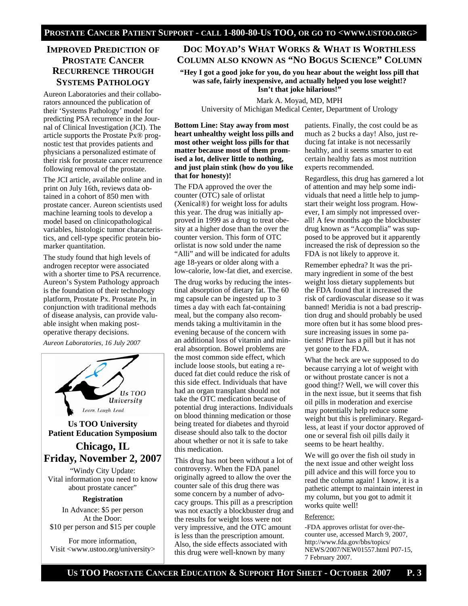# **IMPROVED PREDICTION OF PROSTATE CANCER RECURRENCE THROUGH SYSTEMS PATHOLOGY**

Aureon Laboratories and their collaborators announced the publication of their 'Systems Pathology' model for predicting PSA recurrence in the Journal of Clinical Investigation (JCI). The article supports the Prostate Px® prognostic test that provides patients and physicians a personalized estimate of their risk for prostate cancer recurrence following removal of the prostate.

The JCI article, available online and in print on July 16th, reviews data obtained in a cohort of 850 men with prostate cancer. Aureon scientists used machine learning tools to develop a model based on clinicopathological variables, histologic tumor characteristics, and cell-type specific protein biomarker quantitation.

The study found that high levels of androgen receptor were associated with a shorter time to PSA recurrence. Aureon's System Pathology approach is the foundation of their technology platform, Prostate Px. Prostate Px, in conjunction with traditional methods of disease analysis, can provide valuable insight when making postoperative therapy decisions.

*Aureon Laboratories, 16 July 2007* 



**Us TOO University Patient Education Symposium** 

# **Chicago, IL Friday, November 2, 2007**

"Windy City Update: Vital information you need to know about prostate cancer"

#### **Registration**

In Advance: \$5 per person At the Door: \$10 per person and \$15 per couple

For more information, Visit <www.ustoo.org/university>

## **DOC MOYAD'S WHAT WORKS & WHAT IS WORTHLESS COLUMN ALSO KNOWN AS "NO BOGUS SCIENCE" COLUMN**

**"Hey I got a good joke for you, do you hear about the weight loss pill that was safe, fairly inexpensive, and actually helped you lose weight!? Isn't that joke hilarious!"** 

Mark A. Moyad, MD, MPH University of Michigan Medical Center, Department of Urology

**Bottom Line: Stay away from most heart unhealthy weight loss pills and most other weight loss pills for that matter because most of them promised a lot, deliver little to nothing, and just plain stink (how do you like that for honesty)!** 

The FDA approved the over the counter (OTC) sale of orlistat (Xenical®) for weight loss for adults this year. The drug was initially approved in 1999 as a drug to treat obesity at a higher dose than the over the counter version. This form of OTC orlistat is now sold under the name "Alli" and will be indicated for adults age 18-years or older along with a low-calorie, low-fat diet, and exercise.

The drug works by reducing the intestinal absorption of dietary fat. The 60 mg capsule can be ingested up to 3 times a day with each fat-containing meal, but the company also recommends taking a multivitamin in the evening because of the concern with an additional loss of vitamin and mineral absorption. Bowel problems are the most common side effect, which include loose stools, but eating a reduced fat diet could reduce the risk of this side effect. Individuals that have had an organ transplant should not take the OTC medication because of potential drug interactions. Individuals on blood thinning medication or those being treated for diabetes and thyroid disease should also talk to the doctor about whether or not it is safe to take this medication.

This drug has not been without a lot of controversy. When the FDA panel originally agreed to allow the over the counter sale of this drug there was some concern by a number of advocacy groups. This pill as a prescription was not exactly a blockbuster drug and the results for weight loss were not very impressive, and the OTC amount is less than the prescription amount. Also, the side effects associated with this drug were well-known by many

patients. Finally, the cost could be as much as 2 bucks a day! Also, just reducing fat intake is not necessarily healthy, and it seems smarter to eat certain healthy fats as most nutrition experts recommended.

Regardless, this drug has garnered a lot of attention and may help some individuals that need a little help to jumpstart their weight loss program. However, I am simply not impressed overall! A few months ago the blockbuster drug known as "Accomplia" was supposed to be approved but it apparently increased the risk of depression so the FDA is not likely to approve it.

Remember ephedra? It was the primary ingredient in some of the best weight loss dietary supplements but the FDA found that it increased the risk of cardiovascular disease so it was banned! Meridia is not a bad prescription drug and should probably be used more often but it has some blood pressure increasing issues in some patients! Pfizer has a pill but it has not yet gone to the FDA.

What the heck are we supposed to do because carrying a lot of weight with or without prostate cancer is not a good thing!? Well, we will cover this in the next issue, but it seems that fish oil pills in moderation and exercise may potentially help reduce some weight but this is preliminary. Regardless, at least if your doctor approved of one or several fish oil pills daily it seems to be heart healthy.

We will go over the fish oil study in the next issue and other weight loss pill advice and this will force you to read the column again! I know, it is a pathetic attempt to maintain interest in my column, but you got to admit it works quite well!

#### Reference:

-FDA approves orlistat for over-thecounter use, accessed March 9, 2007, http://www.fda.gov/bbs/topics/ NEWS/2007/NEW01557.html P07-15, 7 February 2007.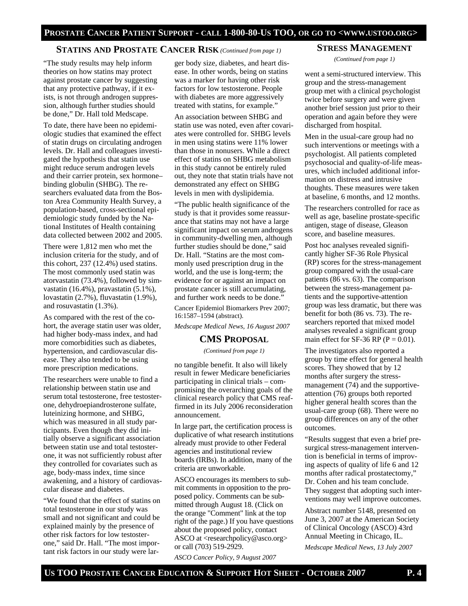#### **STATINS AND PROSTATE CANCER RISK** *(Continued from page 1)*

"The study results may help inform theories on how statins may protect against prostate cancer by suggesting that any protective pathway, if it exists, is not through androgen suppression, although further studies should be done," Dr. Hall told Medscape.

To date, there have been no epidemiologic studies that examined the effect of statin drugs on circulating androgen levels. Dr. Hall and colleagues investigated the hypothesis that statin use might reduce serum androgen levels and their carrier protein, sex hormone– binding globulin (SHBG). The researchers evaluated data from the Boston Area Community Health Survey, a population-based, cross-sectional epidemiologic study funded by the National Institutes of Health containing data collected between 2002 and 2005.

There were 1,812 men who met the inclusion criteria for the study, and of this cohort, 237 (12.4%) used statins. The most commonly used statin was atorvastatin (73.4%), followed by simvastatin (16.4%), pravastatin (5.1%), lovastatin (2.7%), fluvastatin (1.9%), and rosuvastatin (1.3%).

As compared with the rest of the cohort, the average statin user was older, had higher body-mass index, and had more comorbidities such as diabetes, hypertension, and cardiovascular disease. They also tended to be using more prescription medications.

The researchers were unable to find a relationship between statin use and serum total testosterone, free testosterone, dehydroepiandrosterone sulfate, luteinizing hormone, and SHBG, which was measured in all study participants. Even though they did initially observe a significant association between statin use and total testosterone, it was not sufficiently robust after they controlled for covariates such as age, body-mass index, time since awakening, and a history of cardiovascular disease and diabetes.

"We found that the effect of statins on total testosterone in our study was small and not significant and could be explained mainly by the presence of other risk factors for low testosterone," said Dr. Hall. "The most important risk factors in our study were lar-

ger body size, diabetes, and heart disease. In other words, being on statins was a marker for having other risk factors for low testosterone. People with diabetes are more aggressively treated with statins, for example."

An association between SHBG and statin use was noted, even after covariates were controlled for. SHBG levels in men using statins were 11% lower than those in nonusers. While a direct effect of statins on SHBG metabolism in this study cannot be entirely ruled out, they note that statin trials have not demonstrated any effect on SHBG levels in men with dyslipidemia.

"The public health significance of the study is that it provides some reassurance that statins may not have a large significant impact on serum androgens in community-dwelling men, although further studies should be done," said Dr. Hall. "Statins are the most commonly used prescription drug in the world, and the use is long-term; the evidence for or against an impact on prostate cancer is still accumulating, and further work needs to be done."

Cancer Epidemiol Biomarkers Prev 2007; 16:1587–1594 (abstract).

*Medscape Medical News, 16 August 2007* 

#### **CMS PROPOSAL**

*(Continued from page 1)* 

no tangible benefit. It also will likely result in fewer Medicare beneficiaries participating in clinical trials – compromising the overarching goals of the clinical research policy that CMS reaffirmed in its July 2006 reconsideration announcement.

In large part, the certification process is duplicative of what research institutions already must provide to other Federal agencies and institutional review boards (IRBs). In addition, many of the criteria are unworkable.

ASCO encourages its members to submit comments in opposition to the proposed policy. Comments can be submitted through August 18. (Click on the orange "Comment" link at the top right of the page.) If you have questions about the proposed policy, contact ASCO at <researchpolicy@asco.org> or call (703) 519-2929.

*ASCO Cancer Policy, 9 August 2007* 

#### **STRESS MANAGEMENT**

*(Continued from page 1)* 

went a semi-structured interview. This group and the stress-management group met with a clinical psychologist twice before surgery and were given another brief session just prior to their operation and again before they were discharged from hospital.

Men in the usual-care group had no such interventions or meetings with a psychologist. All patients completed psychosocial and quality-of-life measures, which included additional information on distress and intrusive thoughts. These measures were taken at baseline, 6 months, and 12 months.

The researchers controlled for race as well as age, baseline prostate-specific antigen, stage of disease, Gleason score, and baseline measures.

Post hoc analyses revealed significantly higher SF-36 Role Physical (RP) scores for the stress-management group compared with the usual-care patients (86 vs. 63). The comparison between the stress-management patients and the supportive-attention group was less dramatic, but there was benefit for both (86 vs. 73). The researchers reported that mixed model analyses revealed a significant group main effect for SF-36 RP ( $P = 0.01$ ).

The investigators also reported a group by time effect for general health scores. They showed that by 12 months after surgery the stressmanagement (74) and the supportiveattention (76) groups both reported higher general health scores than the usual-care group (68). There were no group differences on any of the other outcomes.

"Results suggest that even a brief presurgical stress-management intervention is beneficial in terms of improving aspects of quality of life 6 and 12 months after radical prostatectomy," Dr. Cohen and his team conclude. They suggest that adopting such interventions may well improve outcomes.

Abstract number 5148, presented on June 3, 2007 at the American Society of Clinical Oncology (ASCO) 43rd Annual Meeting in Chicago, IL.

*Medscape Medical News, 13 July 2007*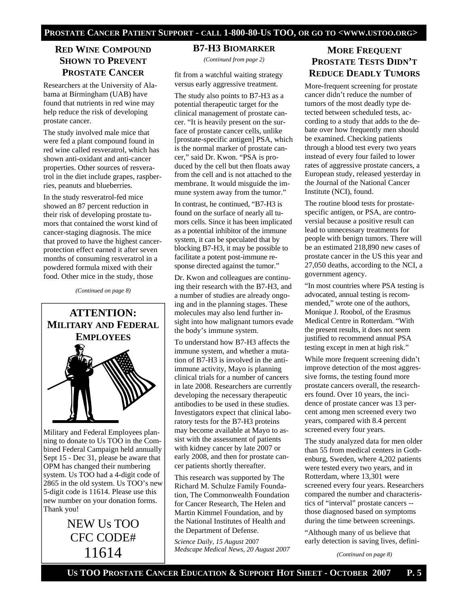# **RED WINE COMPOUND SHOWN TO PREVENT PROSTATE CANCER**

Researchers at the University of Alabama at Birmingham (UAB) have found that nutrients in red wine may help reduce the risk of developing prostate cancer.

The study involved male mice that were fed a plant compound found in red wine called resveratrol, which has shown anti-oxidant and anti-cancer properties. Other sources of resveratrol in the diet include grapes, raspberries, peanuts and blueberries.

In the study resveratrol-fed mice showed an 87 percent reduction in their risk of developing prostate tumors that contained the worst kind of cancer-staging diagnosis. The mice that proved to have the highest cancerprotection effect earned it after seven months of consuming resveratrol in a powdered formula mixed with their food. Other mice in the study, those

*(Continued on page 8)* 



Military and Federal Employees planning to donate to Us TOO in the Combined Federal Campaign held annually Sept 15 - Dec 31, please be aware that OPM has changed their numbering system. Us TOO had a 4-digit code of 2865 in the old system. Us TOO's new 5-digit code is 11614. Please use this new number on your donation forms. Thank you!

> NEW Us TOO CFC CODE# 11614

#### **B7-H3 BIOMARKER**

*(Continued from page 2)* 

fit from a watchful waiting strategy versus early aggressive treatment.

The study also points to B7-H3 as a potential therapeutic target for the clinical management of prostate cancer. "It is heavily present on the surface of prostate cancer cells, unlike [prostate-specific antigen] PSA, which is the normal marker of prostate cancer," said Dr. Kwon. "PSA is produced by the cell but then floats away from the cell and is not attached to the membrane. It would misguide the immune system away from the tumor."

In contrast, he continued, "B7-H3 is found on the surface of nearly all tumors cells. Since it has been implicated as a potential inhibitor of the immune system, it can be speculated that by blocking B7-H3, it may be possible to facilitate a potent post-immune response directed against the tumor."

Dr. Kwon and colleagues are continuing their research with the B7-H3, and a number of studies are already ongoing and in the planning stages. These molecules may also lend further insight into how malignant tumors evade the body's immune system.

To understand how B7-H3 affects the immune system, and whether a mutation of B7-H3 is involved in the antiimmune activity, Mayo is planning clinical trials for a number of cancers in late 2008. Researchers are currently developing the necessary therapeutic antibodies to be used in these studies. Investigators expect that clinical laboratory tests for the B7-H3 proteins may become available at Mayo to assist with the assessment of patients with kidney cancer by late 2007 or early 2008, and then for prostate cancer patients shortly thereafter.

This research was supported by The Richard M. Schulze Family Foundation, The Commonwealth Foundation for Cancer Research, The Helen and Martin Kimmel Foundation, and by the National Institutes of Health and the Department of Defense.

*Science Daily, 15 August* 2007 *Medscape Medical News, 20 August 2007* 

# **MORE FREQUENT PROSTATE TESTS DIDN'T REDUCE DEADLY TUMORS**

More-frequent screening for prostate cancer didn't reduce the number of tumors of the most deadly type detected between scheduled tests, according to a study that adds to the debate over how frequently men should be examined. Checking patients through a blood test every two years instead of every four failed to lower rates of aggressive prostate cancers, a European study, released yesterday in the Journal of the National Cancer Institute (NCI), found.

The routine blood tests for prostatespecific antigen, or PSA, are controversial because a positive result can lead to unnecessary treatments for people with benign tumors. There will be an estimated 218,890 new cases of prostate cancer in the US this year and 27,050 deaths, according to the NCI, a government agency.

"In most countries where PSA testing is advocated, annual testing is recommended," wrote one of the authors, Monique J. Roobol, of the Erasmus Medical Centre in Rotterdam. "With the present results, it does not seem justified to recommend annual PSA testing except in men at high risk."

While more frequent screening didn't improve detection of the most aggressive forms, the testing found more prostate cancers overall, the researchers found. Over 10 years, the incidence of prostate cancer was 13 percent among men screened every two years, compared with 8.4 percent screened every four years.

The study analyzed data for men older than 55 from medical centers in Gothenburg, Sweden, where 4,202 patients were tested every two years, and in Rotterdam, where 13,301 were screened every four years. Researchers compared the number and characteristics of "interval" prostate cancers - those diagnosed based on symptoms during the time between screenings.

"Although many of us believe that early detection is saving lives, defini-

*(Continued on page 8)*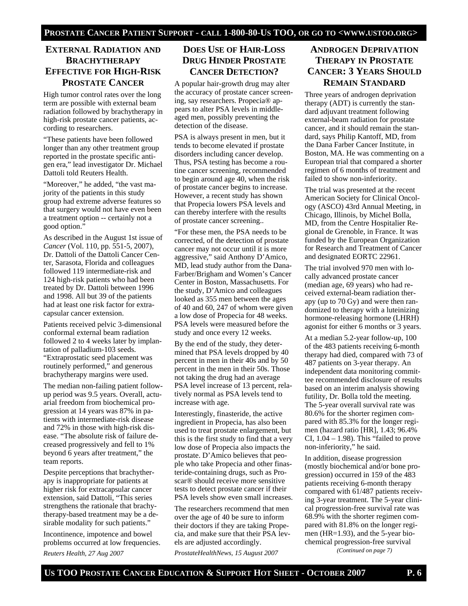# **EXTERNAL RADIATION AND BRACHYTHERAPY EFFECTIVE FOR HIGH-RISK PROSTATE CANCER**

High tumor control rates over the long term are possible with external beam radiation followed by brachytherapy in high-risk prostate cancer patients, according to researchers.

"These patients have been followed longer than any other treatment group reported in the prostate specific antigen era," lead investigator Dr. Michael Dattoli told Reuters Health.

"Moreover," he added, "the vast majority of the patients in this study group had extreme adverse features so that surgery would not have even been a treatment option -- certainly not a good option."

As described in the August 1st issue of *Cancer* (Vol. 110, pp. 551-5, 2007), Dr. Dattoli of the Dattoli Cancer Center, Sarasota, Florida and colleagues followed 119 intermediate-risk and 124 high-risk patients who had been treated by Dr. Dattoli between 1996 and 1998. All but 39 of the patients had at least one risk factor for extracapsular cancer extension.

Patients received pelvic 3-dimensional conformal external beam radiation followed 2 to 4 weeks later by implantation of palladium-103 seeds. "Extraprostatic seed placement was routinely performed," and generous brachytherapy margins were used.

The median non-failing patient followup period was 9.5 years. Overall, actuarial freedom from biochemical progression at 14 years was 87% in patients with intermediate-risk disease and 72% in those with high-risk disease. "The absolute risk of failure decreased progressively and fell to 1% beyond 6 years after treatment," the team reports.

Despite perceptions that brachytherapy is inappropriate for patients at higher risk for extracapsular cancer extension, said Dattoli, "This series strengthens the rationale that brachytherapy-based treatment may be a desirable modality for such patients."

Incontinence, impotence and bowel problems occurred at low frequencies. *Reuters Health, 27 Aug 2007* 

# **DOES USE OF HAIR-LOSS DRUG HINDER PROSTATE CANCER DETECTION?**

A popular hair-growth drug may alter the accuracy of prostate cancer screening, say researchers. Propecia® appears to alter PSA levels in middleaged men, possibly preventing the detection of the disease.

PSA is always present in men, but it tends to become elevated if prostate disorders including cancer develop. Thus, PSA testing has become a routine cancer screening, recommended to begin around age 40, when the risk of prostate cancer begins to increase. However, a recent study has shown that Propecia lowers PSA levels and can thereby interfere with the results of prostate cancer screening..

"For these men, the PSA needs to be corrected, of the detection of prostate cancer may not occur until it is more aggressive," said Anthony D'Amico, MD, lead study author from the Dana-Farber/Brigham and Women's Cancer Center in Boston, Massachusetts. For the study, D'Amico and colleagues looked as 355 men between the ages of 40 and 60, 247 of whom were given a low dose of Propecia for 48 weeks. PSA levels were measured before the study and once every 12 weeks.

By the end of the study, they determined that PSA levels dropped by 40 percent in men in their 40s and by 50 percent in the men in their 50s. Those not taking the drug had an average PSA level increase of 13 percent, relatively normal as PSA levels tend to increase with age.

Interestingly, finasteride, the active ingredient in Propecia, has also been used to treat prostate enlargement, but this is the first study to find that a very low dose of Propecia also impacts the prostate. D'Amico believes that people who take Propecia and other finasteride-containing drugs, such as Proscar® should receive more sensitive tests to detect prostate cancer if their PSA levels show even small increases.

The researchers recommend that men over the age of 40 be sure to inform their doctors if they are taking Propecia, and make sure that their PSA levels are adjusted accordingly.

*ProstateHealthNews, 15 August 2007* 

# **ANDROGEN DEPRIVATION THERAPY IN PROSTATE CANCER: 3 YEARS SHOULD REMAIN STANDARD**

Three years of androgen deprivation therapy (ADT) is currently the standard adjuvant treatment following external-beam radiation for prostate cancer, and it should remain the standard, says Philip Kantoff, MD, from the Dana Farber Cancer Institute, in Boston, MA. He was commenting on a European trial that compared a shorter regimen of 6 months of treatment and failed to show non-inferiority.

The trial was presented at the recent American Society for Clinical Oncology (ASCO) 43rd Annual Meeting, in Chicago, Illinois, by Michel Bolla, MD, from the Centre Hospitalier Regional de Grenoble, in France. It was funded by the European Organization for Research and Treatment of Cancer and designated EORTC 22961.

The trial involved 970 men with locally advanced prostate cancer (median age, 69 years) who had received external-beam radiation therapy (up to 70 Gy) and were then randomized to therapy with a luteinizing hormone-releasing hormone (LHRH) agonist for either 6 months or 3 years.

At a median 5.2-year follow-up, 100 of the 483 patients receiving 6-month therapy had died, compared with 73 of 487 patients on 3-year therapy. An independent data monitoring committee recommended disclosure of results based on an interim analysis showing futility, Dr. Bolla told the meeting. The 5-year overall survival rate was 80.6% for the shorter regimen compared with 85.3% for the longer regimen (hazard ratio [HR], 1.43; 96.4% CI,  $1.04 - 1.98$ ). This "failed to prove non-inferiority," he said.

In addition, disease progression (mostly biochemical and/or bone progression) occurred in 159 of the 483 patients receiving 6-month therapy compared with 61/487 patients receiving 3-year treatment. The 5-year clinical progression-free survival rate was 68.9% with the shorter regimen compared with 81.8% on the longer regimen (HR=1.93), and the 5-year biochemical progression-free survival

*(Continued on page 7)*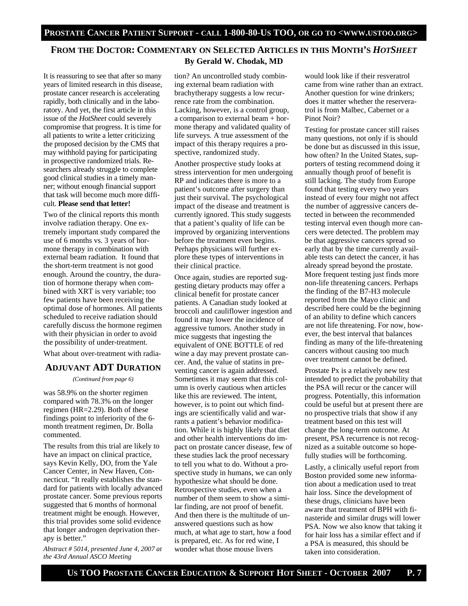# **FROM THE DOCTOR: COMMENTARY ON SELECTED ARTICLES IN THIS MONTH'S** *HOTSHEET* **By Gerald W. Chodak, MD**

It is reassuring to see that after so many years of limited research in this disease, prostate cancer research is accelerating rapidly, both clinically and in the laboratory. And yet, the first article in this issue of the *HotSheet* could severely compromise that progress. It is time for all patients to write a letter criticizing the proposed decision by the CMS that may withhold paying for participating in prospective randomized trials. Researchers already struggle to complete good clinical studies in a timely manner; without enough financial support that task will become much more difficult. **Please send that letter!** 

Two of the clinical reports this month involve radiation therapy. One extremely important study compared the use of 6 months vs. 3 years of hormone therapy in combination with external beam radiation. It found that the short-term treatment is not good enough. Around the country, the duration of hormone therapy when combined with XRT is very variable; too few patients have been receiving the optimal dose of hormones. All patients scheduled to receive radiation should carefully discuss the hormone regimen with their physician in order to avoid the possibility of under-treatment.

What about over-treatment with radia-

### **ADJUVANT ADT DURATION**

*(Continued from page 6)* 

was 58.9% on the shorter regimen compared with 78.3% on the longer regimen (HR=2.29). Both of these findings point to inferiority of the 6 month treatment regimen, Dr. Bolla commented.

The results from this trial are likely to have an impact on clinical practice, says Kevin Kelly, DO, from the Yale Cancer Center, in New Haven, Connecticut. "It really establishes the standard for patients with locally advanced prostate cancer. Some previous reports suggested that 6 months of hormonal treatment might be enough. However, this trial provides some solid evidence that longer androgen deprivation therapy is better."

*Abstract # 5014, presented June 4, 2007 at the 43rd Annual ASCO Meeting* 

tion? An uncontrolled study combining external beam radiation with brachytherapy suggests a low recurrence rate from the combination. Lacking, however, is a control group, a comparison to external beam + hormone therapy and validated quality of life surveys. A true assessment of the impact of this therapy requires a prospective, randomized study.

Another prospective study looks at stress intervention for men undergoing RP and indicates there is more to a patient's outcome after surgery than just their survival. The psychological impact of the disease and treatment is currently ignored. This study suggests that a patient's quality of life can be improved by organizing interventions before the treatment even begins. Perhaps physicians will further explore these types of interventions in their clinical practice.

Once again, studies are reported suggesting dietary products may offer a clinical benefit for prostate cancer patients. A Canadian study looked at broccoli and cauliflower ingestion and found it may lower the incidence of aggressive tumors. Another study in mice suggests that ingesting the equivalent of ONE BOTTLE of red wine a day may prevent prostate cancer. And, the value of statins in preventing cancer is again addressed. Sometimes it may seem that this column is overly cautious when articles like this are reviewed. The intent, however, is to point out which findings are scientifically valid and warrants a patient's behavior modification. While it is highly likely that diet and other health interventions do impact on prostate cancer disease, few of these studies lack the proof necessary to tell you what to do. Without a prospective study in humans, we can only hypothesize what should be done. Retrospective studies, even when a number of them seem to show a similar finding, are not proof of benefit. And then there is the multitude of unanswered questions such as how much, at what age to start, how a food is prepared, etc. As for red wine, I wonder what those mouse livers

would look like if their resveratrol came from wine rather than an extract. Another question for wine drinkers; does it matter whether the reserveratrol is from Malbec, Cabernet or a Pinot Noir?

Testing for prostate cancer still raises many questions, not only if is should be done but as discussed in this issue, how often? In the United States, supporters of testing recommend doing it annually though proof of benefit is still lacking. The study from Europe found that testing every two years instead of every four might not affect the number of aggressive cancers detected in between the recommended testing interval even though more cancers were detected. The problem may be that aggressive cancers spread so early that by the time currently available tests can detect the cancer, it has already spread beyond the prostate. More frequent testing just finds more non-life threatening cancers. Perhaps the finding of the B7-H3 molecule reported from the Mayo clinic and described here could be the beginning of an ability to define which cancers are not life threatening. For now, however, the best interval that balances finding as many of the life-threatening cancers without causing too much over treatment cannot be defined.

Prostate Px is a relatively new test intended to predict the probability that the PSA will recur or the cancer will progress. Potentially, this information could be useful but at present there are no prospective trials that show if any treatment based on this test will change the long-term outcome. At present, PSA recurrence is not recognized as a suitable outcome so hopefully studies will be forthcoming.

Lastly, a clinically useful report from Boston provided some new information about a medication used to treat hair loss. Since the development of these drugs, clinicians have been aware that treatment of BPH with finasteride and similar drugs will lower PSA. Now we also know that taking it for hair loss has a similar effect and if a PSA is measured, this should be taken into consideration.